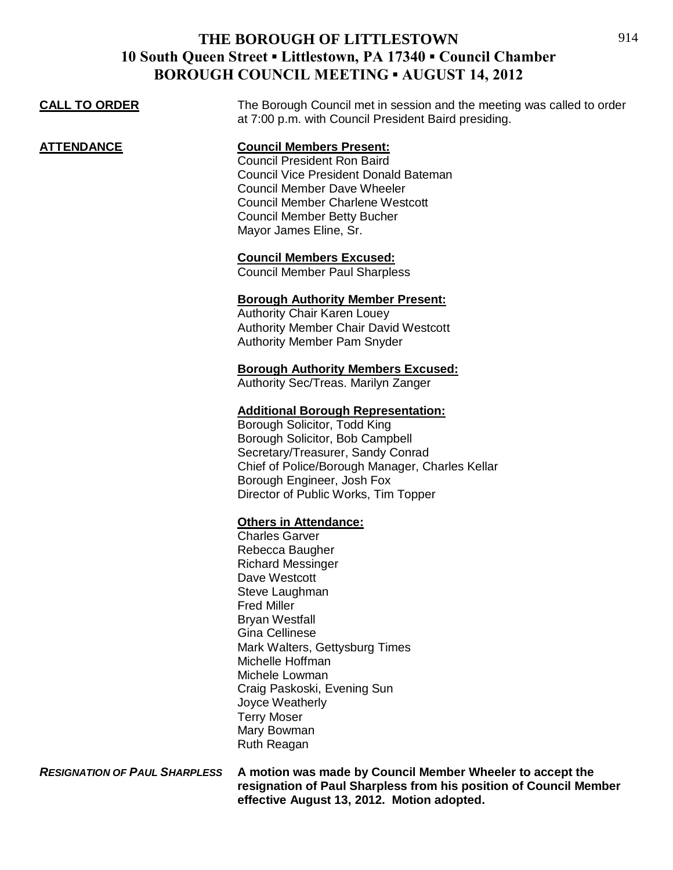| <b>CALL TO ORDER</b> | The Borough Council met in session and the meeting was called to order<br>at 7:00 p.m. with Council President Baird presiding.                                                                                                                                                                                                                                                                                                                                                                                                                                                                                                                                                                                                                                                                                                                                                                     |
|----------------------|----------------------------------------------------------------------------------------------------------------------------------------------------------------------------------------------------------------------------------------------------------------------------------------------------------------------------------------------------------------------------------------------------------------------------------------------------------------------------------------------------------------------------------------------------------------------------------------------------------------------------------------------------------------------------------------------------------------------------------------------------------------------------------------------------------------------------------------------------------------------------------------------------|
| <b>ATTENDANCE</b>    | <b>Council Members Present:</b><br><b>Council President Ron Baird</b><br><b>Council Vice President Donald Bateman</b><br><b>Council Member Dave Wheeler</b><br><b>Council Member Charlene Westcott</b><br><b>Council Member Betty Bucher</b><br>Mayor James Eline, Sr.                                                                                                                                                                                                                                                                                                                                                                                                                                                                                                                                                                                                                             |
|                      | <b>Council Members Excused:</b><br><b>Council Member Paul Sharpless</b>                                                                                                                                                                                                                                                                                                                                                                                                                                                                                                                                                                                                                                                                                                                                                                                                                            |
|                      | <b>Borough Authority Member Present:</b><br><b>Authority Chair Karen Louey</b><br><b>Authority Member Chair David Westcott</b><br>Authority Member Pam Snyder<br><b>Borough Authority Members Excused:</b><br>Authority Sec/Treas. Marilyn Zanger<br><b>Additional Borough Representation:</b><br>Borough Solicitor, Todd King<br>Borough Solicitor, Bob Campbell<br>Secretary/Treasurer, Sandy Conrad<br>Chief of Police/Borough Manager, Charles Kellar<br>Borough Engineer, Josh Fox<br>Director of Public Works, Tim Topper<br><b>Others in Attendance:</b><br><b>Charles Garver</b><br>Rebecca Baugher<br><b>Richard Messinger</b><br>Dave Westcott<br>Steve Laughman<br><b>Fred Miller</b><br><b>Bryan Westfall</b><br><b>Gina Cellinese</b><br>Mark Walters, Gettysburg Times<br>Michelle Hoffman<br>Michele Lowman<br>Craig Paskoski, Evening Sun<br>Joyce Weatherly<br><b>Terry Moser</b> |
|                      | Mary Bowman<br>Ruth Reagan                                                                                                                                                                                                                                                                                                                                                                                                                                                                                                                                                                                                                                                                                                                                                                                                                                                                         |

*RESIGNATION OF PAUL SHARPLESS* **A motion was made by Council Member Wheeler to accept the resignation of Paul Sharpless from his position of Council Member effective August 13, 2012. Motion adopted.**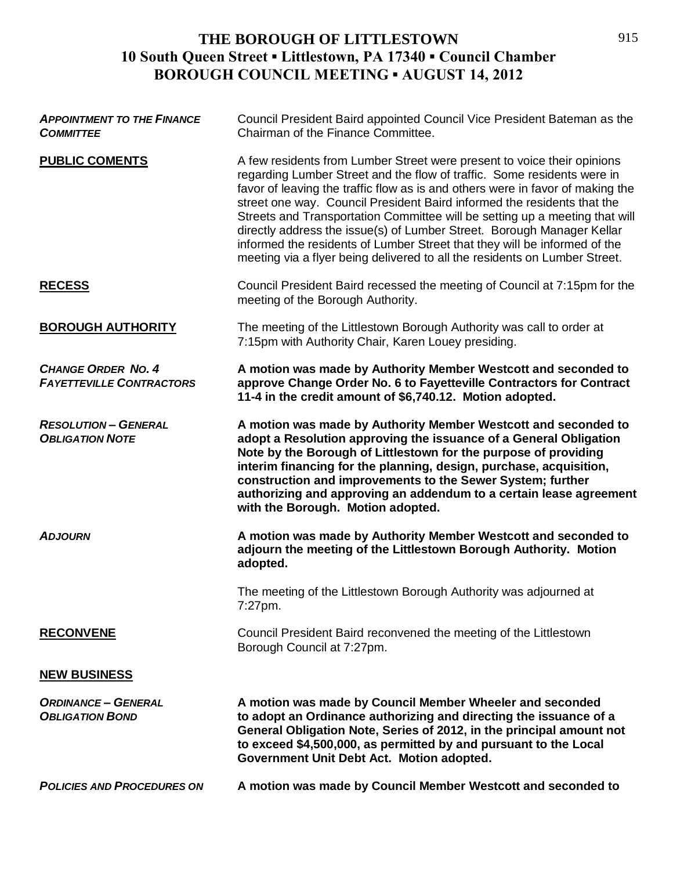| <b>APPOINTMENT TO THE FINANCE</b><br><b>COMMITTEE</b>        | Council President Baird appointed Council Vice President Bateman as the<br>Chairman of the Finance Committee.                                                                                                                                                                                                                                                                                                                                                                                                                                                                                                                       |
|--------------------------------------------------------------|-------------------------------------------------------------------------------------------------------------------------------------------------------------------------------------------------------------------------------------------------------------------------------------------------------------------------------------------------------------------------------------------------------------------------------------------------------------------------------------------------------------------------------------------------------------------------------------------------------------------------------------|
| <b>PUBLIC COMENTS</b>                                        | A few residents from Lumber Street were present to voice their opinions<br>regarding Lumber Street and the flow of traffic. Some residents were in<br>favor of leaving the traffic flow as is and others were in favor of making the<br>street one way. Council President Baird informed the residents that the<br>Streets and Transportation Committee will be setting up a meeting that will<br>directly address the issue(s) of Lumber Street. Borough Manager Kellar<br>informed the residents of Lumber Street that they will be informed of the<br>meeting via a flyer being delivered to all the residents on Lumber Street. |
| <b>RECESS</b>                                                | Council President Baird recessed the meeting of Council at 7:15pm for the<br>meeting of the Borough Authority.                                                                                                                                                                                                                                                                                                                                                                                                                                                                                                                      |
| <b>BOROUGH AUTHORITY</b>                                     | The meeting of the Littlestown Borough Authority was call to order at<br>7:15pm with Authority Chair, Karen Louey presiding.                                                                                                                                                                                                                                                                                                                                                                                                                                                                                                        |
| <b>CHANGE ORDER NO. 4</b><br><b>FAYETTEVILLE CONTRACTORS</b> | A motion was made by Authority Member Westcott and seconded to<br>approve Change Order No. 6 to Fayetteville Contractors for Contract<br>11-4 in the credit amount of \$6,740.12. Motion adopted.                                                                                                                                                                                                                                                                                                                                                                                                                                   |
| <b>RESOLUTION - GENERAL</b><br><b>OBLIGATION NOTE</b>        | A motion was made by Authority Member Westcott and seconded to<br>adopt a Resolution approving the issuance of a General Obligation<br>Note by the Borough of Littlestown for the purpose of providing<br>interim financing for the planning, design, purchase, acquisition,<br>construction and improvements to the Sewer System; further<br>authorizing and approving an addendum to a certain lease agreement<br>with the Borough. Motion adopted.                                                                                                                                                                               |
| <b>ADJOURN</b>                                               | A motion was made by Authority Member Westcott and seconded to<br>adjourn the meeting of the Littlestown Borough Authority. Motion<br>adopted.                                                                                                                                                                                                                                                                                                                                                                                                                                                                                      |
|                                                              | The meeting of the Littlestown Borough Authority was adjourned at<br>7:27pm.                                                                                                                                                                                                                                                                                                                                                                                                                                                                                                                                                        |
| <b>RECONVENE</b>                                             | Council President Baird reconvened the meeting of the Littlestown<br>Borough Council at 7:27pm.                                                                                                                                                                                                                                                                                                                                                                                                                                                                                                                                     |
| <b>NEW BUSINESS</b>                                          |                                                                                                                                                                                                                                                                                                                                                                                                                                                                                                                                                                                                                                     |
| <b>ORDINANCE - GENERAL</b><br><b>OBLIGATION BOND</b>         | A motion was made by Council Member Wheeler and seconded<br>to adopt an Ordinance authorizing and directing the issuance of a<br>General Obligation Note, Series of 2012, in the principal amount not<br>to exceed \$4,500,000, as permitted by and pursuant to the Local<br>Government Unit Debt Act. Motion adopted.                                                                                                                                                                                                                                                                                                              |
| <b>POLICIES AND PROCEDURES ON</b>                            | A motion was made by Council Member Westcott and seconded to                                                                                                                                                                                                                                                                                                                                                                                                                                                                                                                                                                        |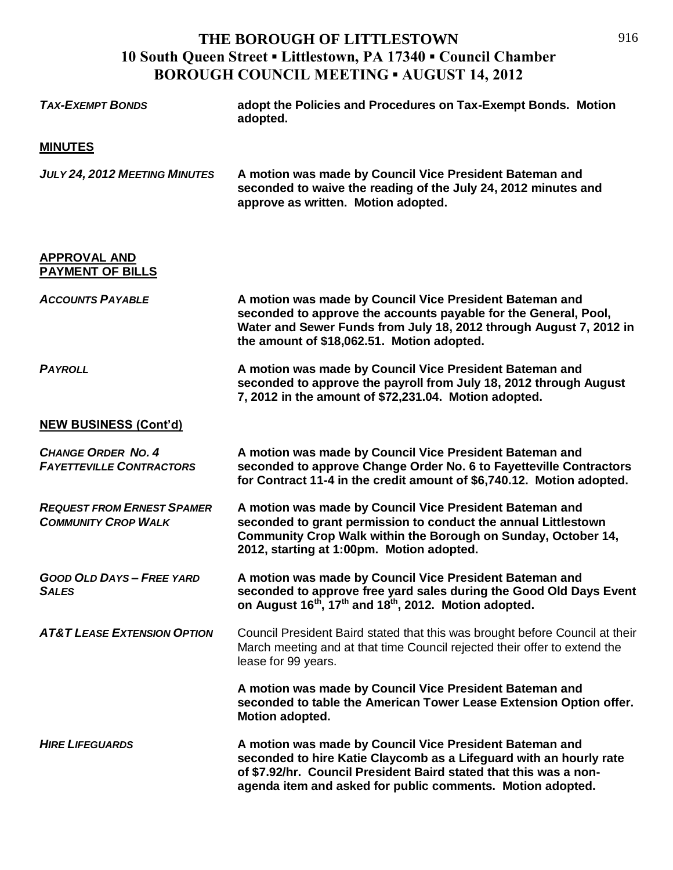| <b>TAX-EXEMPT BONDS</b>                                         | adopt the Policies and Procedures on Tax-Exempt Bonds. Motion<br>adopted.                                                                                                                                                                                        |
|-----------------------------------------------------------------|------------------------------------------------------------------------------------------------------------------------------------------------------------------------------------------------------------------------------------------------------------------|
| <b>MINUTES</b>                                                  |                                                                                                                                                                                                                                                                  |
| JULY 24, 2012 MEETING MINUTES                                   | A motion was made by Council Vice President Bateman and<br>seconded to waive the reading of the July 24, 2012 minutes and<br>approve as written. Motion adopted.                                                                                                 |
| <b>APPROVAL AND</b><br><b>PAYMENT OF BILLS</b>                  |                                                                                                                                                                                                                                                                  |
| <b>ACCOUNTS PAYABLE</b>                                         | A motion was made by Council Vice President Bateman and<br>seconded to approve the accounts payable for the General, Pool,<br>Water and Sewer Funds from July 18, 2012 through August 7, 2012 in<br>the amount of \$18,062.51. Motion adopted.                   |
| <b>PAYROLL</b>                                                  | A motion was made by Council Vice President Bateman and<br>seconded to approve the payroll from July 18, 2012 through August<br>7, 2012 in the amount of \$72,231.04. Motion adopted.                                                                            |
| <b>NEW BUSINESS (Cont'd)</b>                                    |                                                                                                                                                                                                                                                                  |
| <b>CHANGE ORDER NO. 4</b><br><b>FAYETTEVILLE CONTRACTORS</b>    | A motion was made by Council Vice President Bateman and<br>seconded to approve Change Order No. 6 to Fayetteville Contractors<br>for Contract 11-4 in the credit amount of \$6,740.12. Motion adopted.                                                           |
| <b>REQUEST FROM ERNEST SPAMER</b><br><b>COMMUNITY CROP WALK</b> | A motion was made by Council Vice President Bateman and<br>seconded to grant permission to conduct the annual Littlestown<br>Community Crop Walk within the Borough on Sunday, October 14,<br>2012, starting at 1:00pm. Motion adopted.                          |
| <b>GOOD OLD DAYS - FREE YARD</b><br><b>SALES</b>                | A motion was made by Council Vice President Bateman and<br>seconded to approve free yard sales during the Good Old Days Event<br>on August 16 <sup>th</sup> , 17 <sup>th</sup> and 18 <sup>th</sup> , 2012. Motion adopted.                                      |
| <b>AT&amp;T LEASE EXTENSION OPTION</b>                          | Council President Baird stated that this was brought before Council at their<br>March meeting and at that time Council rejected their offer to extend the<br>lease for 99 years.                                                                                 |
|                                                                 | A motion was made by Council Vice President Bateman and<br>seconded to table the American Tower Lease Extension Option offer.<br>Motion adopted.                                                                                                                 |
| <b>HIRE LIFEGUARDS</b>                                          | A motion was made by Council Vice President Bateman and<br>seconded to hire Katie Claycomb as a Lifeguard with an hourly rate<br>of \$7.92/hr. Council President Baird stated that this was a non-<br>agenda item and asked for public comments. Motion adopted. |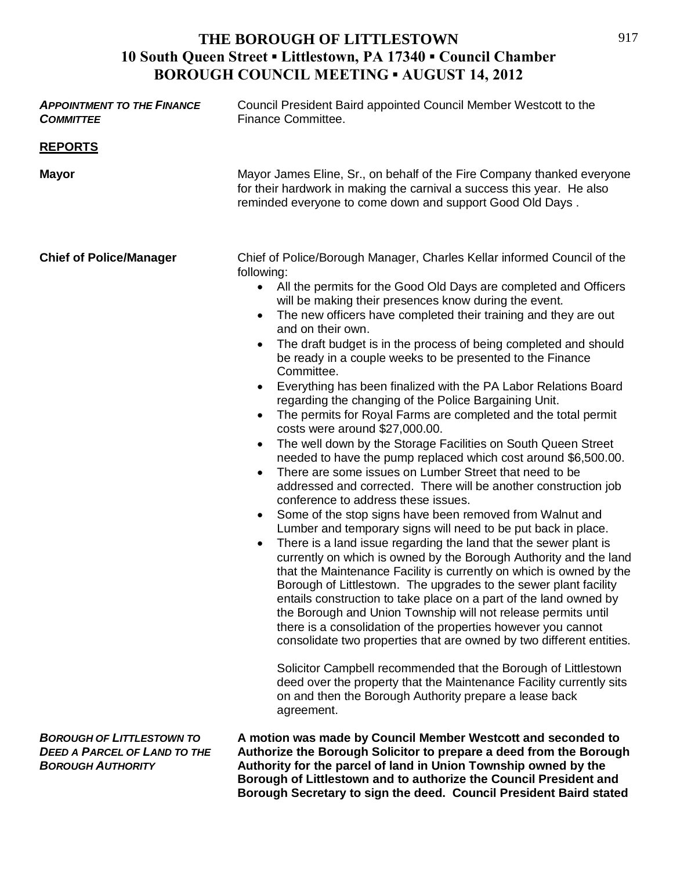| <b>APPOINTMENT TO THE FINANCE</b><br><b>COMMITTEE</b>                                               | Council President Baird appointed Council Member Westcott to the<br>Finance Committee.                                                                                                                                                                                                                                                                                                                                                                                                                                                                                                                                                                                                                                                                                                                                                                                                                                                                                                                                                                                                                                                                                                                                                                                                                                                                                                                                                                                                                                                                                                                                                                                                                                                                                                                                                                                                                                                                                                            |
|-----------------------------------------------------------------------------------------------------|---------------------------------------------------------------------------------------------------------------------------------------------------------------------------------------------------------------------------------------------------------------------------------------------------------------------------------------------------------------------------------------------------------------------------------------------------------------------------------------------------------------------------------------------------------------------------------------------------------------------------------------------------------------------------------------------------------------------------------------------------------------------------------------------------------------------------------------------------------------------------------------------------------------------------------------------------------------------------------------------------------------------------------------------------------------------------------------------------------------------------------------------------------------------------------------------------------------------------------------------------------------------------------------------------------------------------------------------------------------------------------------------------------------------------------------------------------------------------------------------------------------------------------------------------------------------------------------------------------------------------------------------------------------------------------------------------------------------------------------------------------------------------------------------------------------------------------------------------------------------------------------------------------------------------------------------------------------------------------------------------|
| <b>REPORTS</b>                                                                                      |                                                                                                                                                                                                                                                                                                                                                                                                                                                                                                                                                                                                                                                                                                                                                                                                                                                                                                                                                                                                                                                                                                                                                                                                                                                                                                                                                                                                                                                                                                                                                                                                                                                                                                                                                                                                                                                                                                                                                                                                   |
| <b>Mayor</b>                                                                                        | Mayor James Eline, Sr., on behalf of the Fire Company thanked everyone<br>for their hardwork in making the carnival a success this year. He also<br>reminded everyone to come down and support Good Old Days.                                                                                                                                                                                                                                                                                                                                                                                                                                                                                                                                                                                                                                                                                                                                                                                                                                                                                                                                                                                                                                                                                                                                                                                                                                                                                                                                                                                                                                                                                                                                                                                                                                                                                                                                                                                     |
| <b>Chief of Police/Manager</b>                                                                      | Chief of Police/Borough Manager, Charles Kellar informed Council of the<br>following:<br>• All the permits for the Good Old Days are completed and Officers<br>will be making their presences know during the event.<br>The new officers have completed their training and they are out<br>$\bullet$<br>and on their own.<br>The draft budget is in the process of being completed and should<br>be ready in a couple weeks to be presented to the Finance<br>Committee.<br>Everything has been finalized with the PA Labor Relations Board<br>$\bullet$<br>regarding the changing of the Police Bargaining Unit.<br>The permits for Royal Farms are completed and the total permit<br>$\bullet$<br>costs were around \$27,000.00.<br>The well down by the Storage Facilities on South Queen Street<br>$\bullet$<br>needed to have the pump replaced which cost around \$6,500.00.<br>There are some issues on Lumber Street that need to be<br>addressed and corrected. There will be another construction job<br>conference to address these issues.<br>Some of the stop signs have been removed from Walnut and<br>$\bullet$<br>Lumber and temporary signs will need to be put back in place.<br>There is a land issue regarding the land that the sewer plant is<br>$\bullet$<br>currently on which is owned by the Borough Authority and the land<br>that the Maintenance Facility is currently on which is owned by the<br>Borough of Littlestown. The upgrades to the sewer plant facility<br>entails construction to take place on a part of the land owned by<br>the Borough and Union Township will not release permits until<br>there is a consolidation of the properties however you cannot<br>consolidate two properties that are owned by two different entities.<br>Solicitor Campbell recommended that the Borough of Littlestown<br>deed over the property that the Maintenance Facility currently sits<br>on and then the Borough Authority prepare a lease back<br>agreement. |
| <b>BOROUGH OF LITTLESTOWN TO</b><br><b>DEED A PARCEL OF LAND TO THE</b><br><b>BOROUGH AUTHORITY</b> | A motion was made by Council Member Westcott and seconded to<br>Authorize the Borough Solicitor to prepare a deed from the Borough<br>Authority for the parcel of land in Union Township owned by the                                                                                                                                                                                                                                                                                                                                                                                                                                                                                                                                                                                                                                                                                                                                                                                                                                                                                                                                                                                                                                                                                                                                                                                                                                                                                                                                                                                                                                                                                                                                                                                                                                                                                                                                                                                             |

**Borough of Littlestown and to authorize the Council President and Borough Secretary to sign the deed. Council President Baird stated**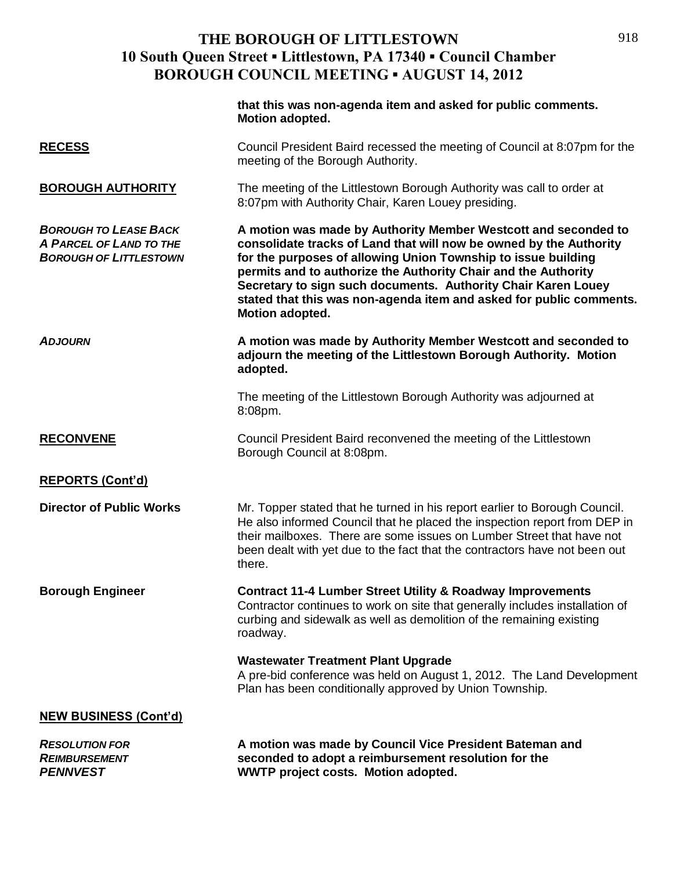|                                                                                          | that this was non-agenda item and asked for public comments.<br><b>Motion adopted.</b>                                                                                                                                                                                                                                                                                                                                                    |
|------------------------------------------------------------------------------------------|-------------------------------------------------------------------------------------------------------------------------------------------------------------------------------------------------------------------------------------------------------------------------------------------------------------------------------------------------------------------------------------------------------------------------------------------|
| <b>RECESS</b>                                                                            | Council President Baird recessed the meeting of Council at 8:07pm for the<br>meeting of the Borough Authority.                                                                                                                                                                                                                                                                                                                            |
| <b>BOROUGH AUTHORITY</b>                                                                 | The meeting of the Littlestown Borough Authority was call to order at<br>8:07pm with Authority Chair, Karen Louey presiding.                                                                                                                                                                                                                                                                                                              |
| <b>BOROUGH TO LEASE BACK</b><br>A PARCEL OF LAND TO THE<br><b>BOROUGH OF LITTLESTOWN</b> | A motion was made by Authority Member Westcott and seconded to<br>consolidate tracks of Land that will now be owned by the Authority<br>for the purposes of allowing Union Township to issue building<br>permits and to authorize the Authority Chair and the Authority<br>Secretary to sign such documents. Authority Chair Karen Louey<br>stated that this was non-agenda item and asked for public comments.<br><b>Motion adopted.</b> |
| <b>ADJOURN</b>                                                                           | A motion was made by Authority Member Westcott and seconded to<br>adjourn the meeting of the Littlestown Borough Authority. Motion<br>adopted.                                                                                                                                                                                                                                                                                            |
|                                                                                          | The meeting of the Littlestown Borough Authority was adjourned at<br>8:08pm.                                                                                                                                                                                                                                                                                                                                                              |
| <b>RECONVENE</b>                                                                         | Council President Baird reconvened the meeting of the Littlestown<br>Borough Council at 8:08pm.                                                                                                                                                                                                                                                                                                                                           |
| <b>REPORTS (Cont'd)</b>                                                                  |                                                                                                                                                                                                                                                                                                                                                                                                                                           |
| <b>Director of Public Works</b>                                                          | Mr. Topper stated that he turned in his report earlier to Borough Council.<br>He also informed Council that he placed the inspection report from DEP in<br>their mailboxes. There are some issues on Lumber Street that have not<br>been dealt with yet due to the fact that the contractors have not been out<br>there.                                                                                                                  |
| <b>Borough Engineer</b>                                                                  | <b>Contract 11-4 Lumber Street Utility &amp; Roadway Improvements</b><br>Contractor continues to work on site that generally includes installation of<br>curbing and sidewalk as well as demolition of the remaining existing<br>roadway.                                                                                                                                                                                                 |
|                                                                                          | <b>Wastewater Treatment Plant Upgrade</b><br>A pre-bid conference was held on August 1, 2012. The Land Development<br>Plan has been conditionally approved by Union Township.                                                                                                                                                                                                                                                             |
| <b>NEW BUSINESS (Cont'd)</b>                                                             |                                                                                                                                                                                                                                                                                                                                                                                                                                           |
| <b>RESOLUTION FOR</b><br><b>REIMBURSEMENT</b><br><b>PENNVEST</b>                         | A motion was made by Council Vice President Bateman and<br>seconded to adopt a reimbursement resolution for the<br><b>WWTP project costs. Motion adopted.</b>                                                                                                                                                                                                                                                                             |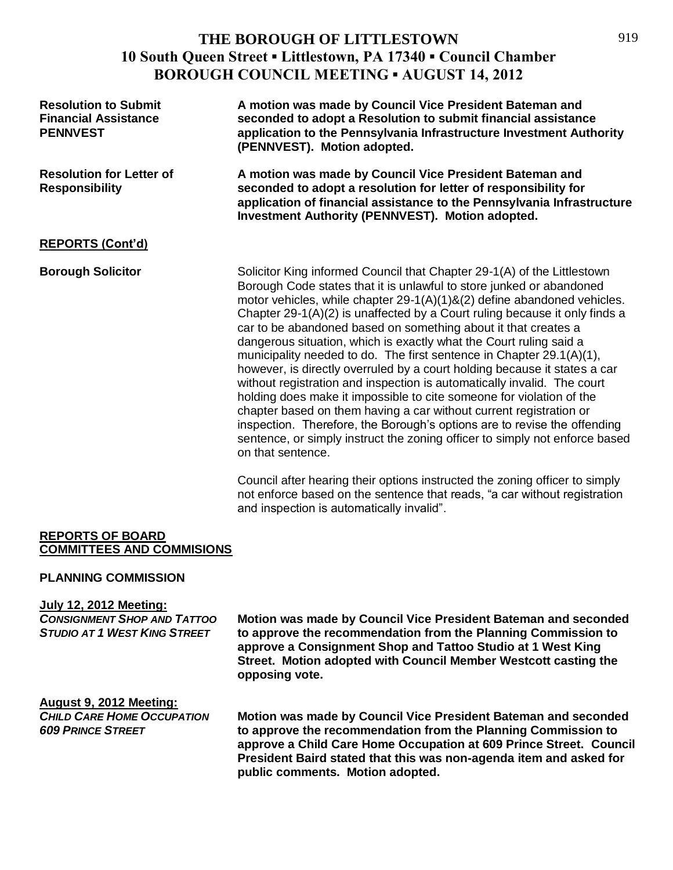| <b>Resolution to Submit</b><br><b>Financial Assistance</b><br><b>PENNVEST</b> | A motion was made by Council Vice President Bateman and<br>seconded to adopt a Resolution to submit financial assistance<br>application to the Pennsylvania Infrastructure Investment Authority<br>(PENNVEST). Motion adopted.                                                                                                                                                                                                                                                                                                                                                                                                                                                                                                                                                                                                                                                                                                                                                                                    |
|-------------------------------------------------------------------------------|-------------------------------------------------------------------------------------------------------------------------------------------------------------------------------------------------------------------------------------------------------------------------------------------------------------------------------------------------------------------------------------------------------------------------------------------------------------------------------------------------------------------------------------------------------------------------------------------------------------------------------------------------------------------------------------------------------------------------------------------------------------------------------------------------------------------------------------------------------------------------------------------------------------------------------------------------------------------------------------------------------------------|
| <b>Resolution for Letter of</b><br><b>Responsibility</b>                      | A motion was made by Council Vice President Bateman and<br>seconded to adopt a resolution for letter of responsibility for<br>application of financial assistance to the Pennsylvania Infrastructure<br><b>Investment Authority (PENNVEST). Motion adopted.</b>                                                                                                                                                                                                                                                                                                                                                                                                                                                                                                                                                                                                                                                                                                                                                   |
| <b>REPORTS (Cont'd)</b>                                                       |                                                                                                                                                                                                                                                                                                                                                                                                                                                                                                                                                                                                                                                                                                                                                                                                                                                                                                                                                                                                                   |
| <b>Borough Solicitor</b>                                                      | Solicitor King informed Council that Chapter 29-1(A) of the Littlestown<br>Borough Code states that it is unlawful to store junked or abandoned<br>motor vehicles, while chapter 29-1(A)(1)&(2) define abandoned vehicles.<br>Chapter 29-1(A)(2) is unaffected by a Court ruling because it only finds a<br>car to be abandoned based on something about it that creates a<br>dangerous situation, which is exactly what the Court ruling said a<br>municipality needed to do. The first sentence in Chapter $29.1(A)(1)$ ,<br>however, is directly overruled by a court holding because it states a car<br>without registration and inspection is automatically invalid. The court<br>holding does make it impossible to cite someone for violation of the<br>chapter based on them having a car without current registration or<br>inspection. Therefore, the Borough's options are to revise the offending<br>sentence, or simply instruct the zoning officer to simply not enforce based<br>on that sentence. |

Council after hearing their options instructed the zoning officer to simply not enforce based on the sentence that reads, "a car without registration and inspection is automatically invalid".

#### **REPORTS OF BOARD COMMITTEES AND COMMISIONS**

#### **PLANNING COMMISSION**

#### **July 12, 2012 Meeting:**

*CONSIGNMENT SHOP AND TATTOO* **Motion was made by Council Vice President Bateman and seconded**  *STUDIO AT 1 WEST KING STREET* **to approve the recommendation from the Planning Commission to approve a Consignment Shop and Tattoo Studio at 1 West King Street. Motion adopted with Council Member Westcott casting the opposing vote.**

### **August 9, 2012 Meeting:**

*CHILD CARE HOME OCCUPATION* **Motion was made by Council Vice President Bateman and seconded**  *609 PRINCE STREET* **to approve the recommendation from the Planning Commission to approve a Child Care Home Occupation at 609 Prince Street. Council President Baird stated that this was non-agenda item and asked for public comments. Motion adopted.**